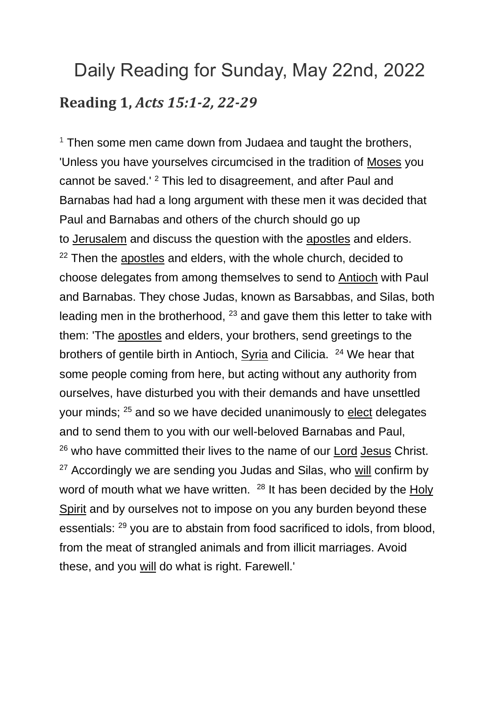## Daily Reading for Sunday, May 22nd, 2022 **Reading 1,** *Acts 15:1-2, 22-29*

 $1$  Then some men came down from Judaea and taught the brothers, 'Unless you have yourselves circumcised in the tradition of [Moses](https://www.catholic.org/encyclopedia/view.php?id=8218) you cannot be saved.' <sup>2</sup> This led to disagreement, and after Paul and Barnabas had had a long argument with these men it was decided that Paul and Barnabas and others of the church should go up to [Jerusalem](https://www.catholic.org/encyclopedia/view.php?id=6304) and discuss the question with the [apostles](https://www.catholic.org/encyclopedia/view.php?id=933) and elders.  $22$  Then the [apostles](https://www.catholic.org/encyclopedia/view.php?id=933) and elders, with the whole church, decided to choose delegates from among themselves to send to [Antioch](https://www.catholic.org/encyclopedia/view.php?id=870) with Paul and Barnabas. They chose Judas, known as Barsabbas, and Silas, both leading men in the brotherhood,  $23$  and gave them this letter to take with them: 'The [apostles](https://www.catholic.org/encyclopedia/view.php?id=933) and elders, your brothers, send greetings to the brothers of gentile birth in Antioch, [Syria](https://www.catholic.org/encyclopedia/view.php?id=11221) and Cilicia. <sup>24</sup> We hear that some people coming from here, but acting without any authority from ourselves, have disturbed you with their demands and have unsettled your minds; <sup>25</sup> and so we have decided unanimously to [elect](https://www.catholic.org/encyclopedia/view.php?id=4213) delegates and to send them to you with our well-beloved Barnabas and Paul,  $26$  who have committed their lives to the name of our [Lord](https://www.catholic.org/encyclopedia/view.php?id=5217) [Jesus](https://www.catholic.org/clife/jesus) Christ.  $27$  Accordingly we are sending you Judas and Silas, who [will](https://www.catholic.org/encyclopedia/view.php?id=12332) confirm by word of mouth what we have written. <sup>28</sup> It has been decided by the Holy [Spirit](https://www.catholic.org/encyclopedia/view.php?id=5854) and by ourselves not to impose on you any burden beyond these essentials: <sup>29</sup> you are to abstain from food sacrificed to idols, from blood, from the meat of strangled animals and from illicit marriages. Avoid these, and you [will](https://www.catholic.org/encyclopedia/view.php?id=12332) do what is right. Farewell.'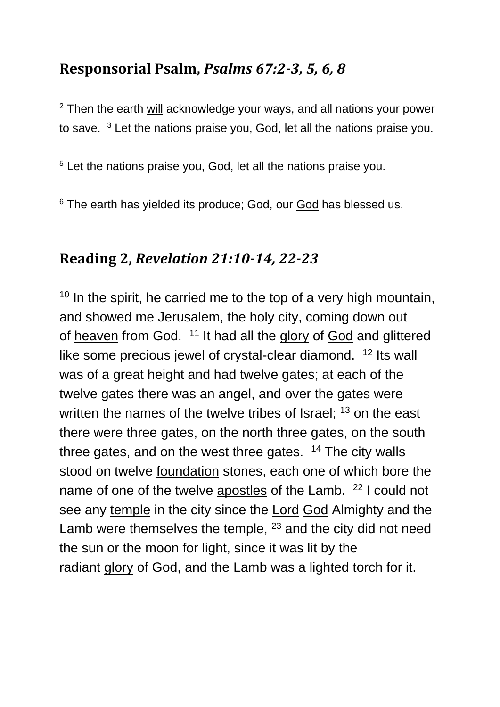## **Responsorial Psalm,** *Psalms 67:2-3, 5, 6, 8*

 $2$  Then the earth [will](https://www.catholic.org/encyclopedia/view.php?id=12332) acknowledge your ways, and all nations your power to save.  $3$  Let the nations praise you, God, let all the nations praise you.

<sup>5</sup> Let the nations praise you, God, let all the nations praise you.

<sup>6</sup> The earth has yielded its produce; [God](https://www.catholic.org/encyclopedia/view.php?id=5217), our God has blessed us.

## **Reading 2,** *Revelation 21:10-14, 22-23*

 $10$  In the spirit, he carried me to the top of a very high mountain, and showed me Jerusalem, the holy city, coming down out of [heaven](https://www.catholic.org/encyclopedia/view.php?id=5593) from God. <sup>11</sup> It had all the [glory](https://www.catholic.org/encyclopedia/view.php?id=5201) of [God](https://www.catholic.org/encyclopedia/view.php?id=5217) and glittered like some precious jewel of crystal-clear diamond. <sup>12</sup> Its wall was of a great height and had twelve gates; at each of the twelve gates there was an angel, and over the gates were written the names of the twelve tribes of Israel; <sup>13</sup> on the east there were three gates, on the north three gates, on the south three gates, and on the west three gates.  $14$  The city walls stood on twelve [foundation](https://www.catholic.org/encyclopedia/view.php?id=4807) stones, each one of which bore the name of one of the twelve [apostles](https://www.catholic.org/encyclopedia/view.php?id=933) of the Lamb. <sup>22</sup> I could not see any [temple](https://www.catholic.org/encyclopedia/view.php?id=11357) in the city since the [Lord](https://www.catholic.org/encyclopedia/view.php?id=5217) [God](https://www.catholic.org/encyclopedia/view.php?id=5217) Almighty and the Lamb were themselves the temple,  $23$  and the city did not need the sun or the moon for light, since it was lit by the radiant [glory](https://www.catholic.org/encyclopedia/view.php?id=5201) of God, and the Lamb was a lighted torch for it.